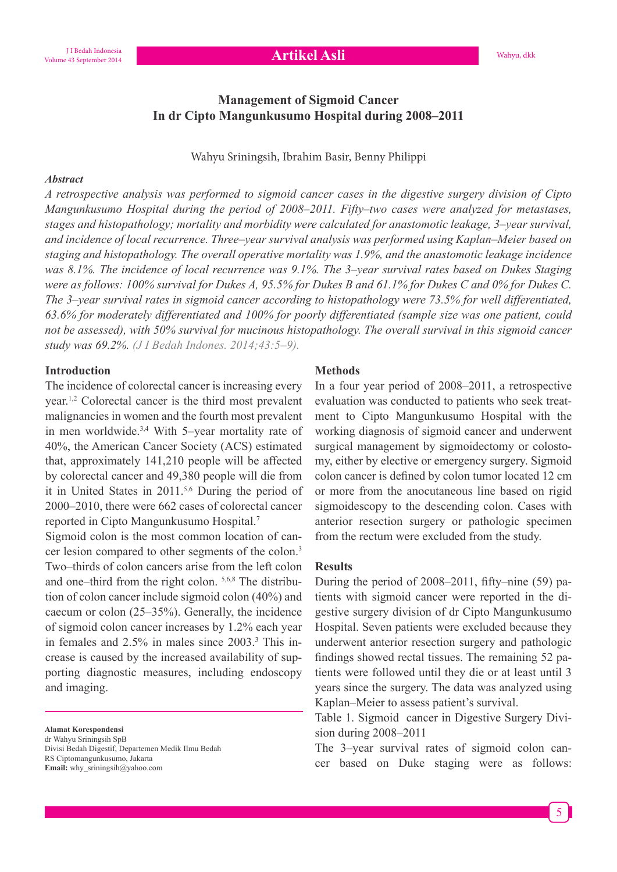**Artikel Asli** 

# **Management of Sigmoid Cancer In dr Cipto Mangunkusumo Hospital during 2008–2011**

Wahyu Sriningsih, Ibrahim Basir, Benny Philippi

#### *Abstract*

*A retrospective analysis was performed to sigmoid cancer cases in the digestive surgery division of Cipto Mangunkusumo Hospital during the period of 2008–2011. Fifty-two cases were analyzed for metastases, stages and histopathology; mortality and morbidity were calculated for anastomotic leakage, 3–year survival,* and incidence of local recurrence. Three-year survival analysis was performed using Kaplan–Meier based on staging and histopathology. The overall operative mortality was 1.9%, and the anastomotic leakage incidence *Was 8.1%. The incidence of local recurrence was 9.1%. The 3–year survival rates based on Dukes Staging Were as follows: 100% survival for Dukes A, 95.5% for Dukes B and 61.1% for Dukes C and 0% for Dukes C. The 3-year survival rates in sigmoid cancer according to histopathology were 73.5% for well differentiated,* 63.6% for moderately differentiated and 100% for poorly differentiated (sample size was one patient, could not be assessed), with 50% survival for mucinous histopathology. The overall survival in this sigmoid cancer *study was 69.2%. (J I Bedah Indones. 2014;43:5-9).* 

### **Introduction**

The incidence of colorectal cancer is increasing every year.1,2 Colorectal cancer is the third most prevalent malignancies in women and the fourth most prevalent in men worldwide.3,4 With 5–year mortality rate of 40%, the American Cancer Society (ACS) estimated that, approximately 141,210 people will be affected by colorectal cancer and 49,380 people will die from it in United States in 2011.5,6 During the period of 2000–2010, there were 662 cases of colorectal cancer reported in Cipto Mangunkusumo Hospital.7

Sigmoid colon is the most common location of cancer lesion compared to other segments of the colon.<sup>3</sup> Two–thirds of colon cancers arise from the left colon and one–third from the right colon. 5,6,8 The distribution of colon cancer include sigmoid colon (40%) and caecum or colon (25–35%). Generally, the incidence of sigmoid colon cancer increases by 1.2% each year in females and 2.5% in males since 2003.<sup>3</sup> This increase is caused by the increased availability of supporting diagnostic measures, including endoscopy and imaging.

**Alamat Korespondensi**

dr Wahyu Sriningsih SpB Divisi Bedah Digestif, Departemen Medik Ilmu Bedah RS Ciptomangunkusumo, Jakarta **Email:** why\_sriningsih@yahoo.com

#### **Methods**

In a four year period of 2008–2011, a retrospective evaluation was conducted to patients who seek treatment to Cipto Mangunkusumo Hospital with the working diagnosis of sigmoid cancer and underwent surgical management by sigmoidectomy or colostomy, either by elective or emergency surgery. Sigmoid colon cancer is defined by colon tumor located 12 cm or more from the anocutaneous line based on rigid sigmoidescopy to the descending colon. Cases with anterior resection surgery or pathologic specimen from the rectum were excluded from the study.

#### **Results**

During the period of  $2008-2011$ , fifty-nine (59) patients with sigmoid cancer were reported in the digestive surgery division of dr Cipto Mangunkusumo Hospital. Seven patients were excluded because they underwent anterior resection surgery and pathologic findings showed rectal tissues. The remaining 52 patients were followed until they die or at least until 3 years since the surgery. The data was analyzed using Kaplan–Meier to assess patient's survival.

Table 1. Sigmoid cancer in Digestive Surgery Division during 2008–2011

The 3–year survival rates of sigmoid colon cancer based on Duke staging were as follows: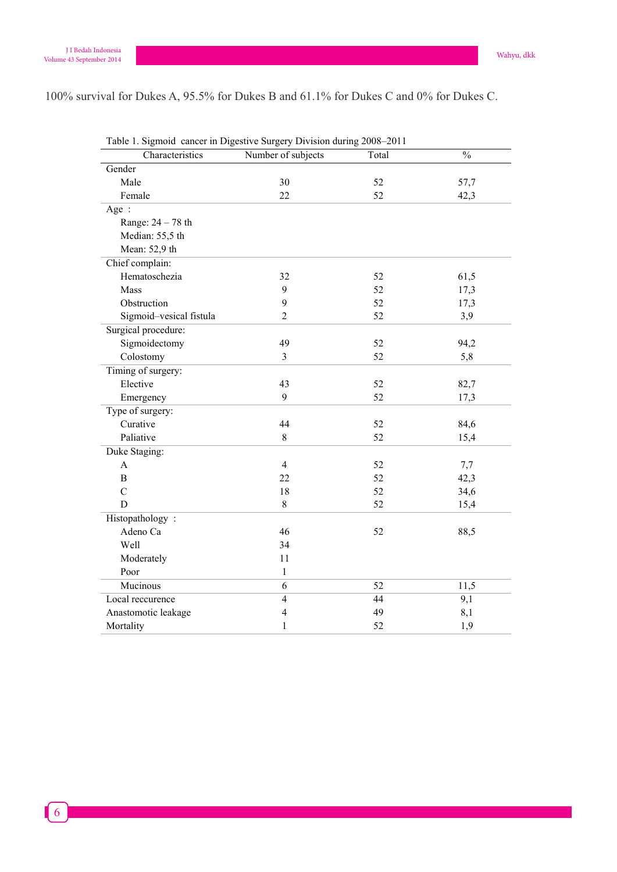100% survival for Dukes A, 95.5% for Dukes B and 61.1% for Dukes C and 0% for Dukes C.

cancer in the west of scotland :10 years follow up. Br J Surg. 1990;77:280–2000;77:280–2000;77:280–2000;77:280<br>The west of scotland in the west of scotland in the west of scotland in the west of scotland in the west of sc

| Characteristics         | Number of subjects | Total           | $\frac{0}{0}$ |
|-------------------------|--------------------|-----------------|---------------|
| Gender                  |                    |                 |               |
| Male                    | 30                 | 52              | 57,7          |
| Female                  | 22                 | 52              | 42,3          |
| Age:                    |                    |                 |               |
| Range: 24 - 78 th       |                    |                 |               |
| Median: 55,5 th         |                    |                 |               |
| Mean: 52,9 th           |                    |                 |               |
| Chief complain:         |                    |                 |               |
| Hematoschezia           | 32                 | 52              | 61,5          |
| Mass                    | 9                  | 52              | 17,3          |
| Obstruction             | 9                  | 52              | 17,3          |
| Sigmoid-vesical fistula | 2                  | 52              | 3,9           |
| Surgical procedure:     |                    |                 |               |
| Sigmoidectomy           | 49                 | 52              | 94,2          |
| Colostomy               | $\overline{3}$     | 52              | 5,8           |
| Timing of surgery:      |                    |                 |               |
| Elective                | 43                 | 52              | 82,7          |
| Emergency               | 9                  | 52              | 17,3          |
| Type of surgery:        |                    |                 |               |
| Curative                | 44                 | 52              | 84,6          |
| Paliative               | $\,8\,$            | 52              | 15,4          |
| Duke Staging:           |                    |                 |               |
| A                       | $\overline{4}$     | 52              | 7,7           |
| $\overline{B}$          | 22                 | 52              | 42,3          |
| $\overline{C}$          | 18                 | 52              | 34,6          |
| D                       | 8                  | 52              | 15,4          |
| Histopathology:         |                    |                 |               |
| Adeno Ca                | 46                 | 52              | 88,5          |
| Well                    | 34                 |                 |               |
| Moderately              | 11                 |                 |               |
| Poor                    | $\mathbf{1}$       |                 |               |
| Mucinous                | $\overline{6}$     | $\overline{52}$ | 11,5          |
| Local reccurence        | $\overline{4}$     | 44              | 9,1           |
| Anastomotic leakage     | $\overline{4}$     | 49              | 8,1           |
| Mortality               | 1                  | 52              | 1,9           |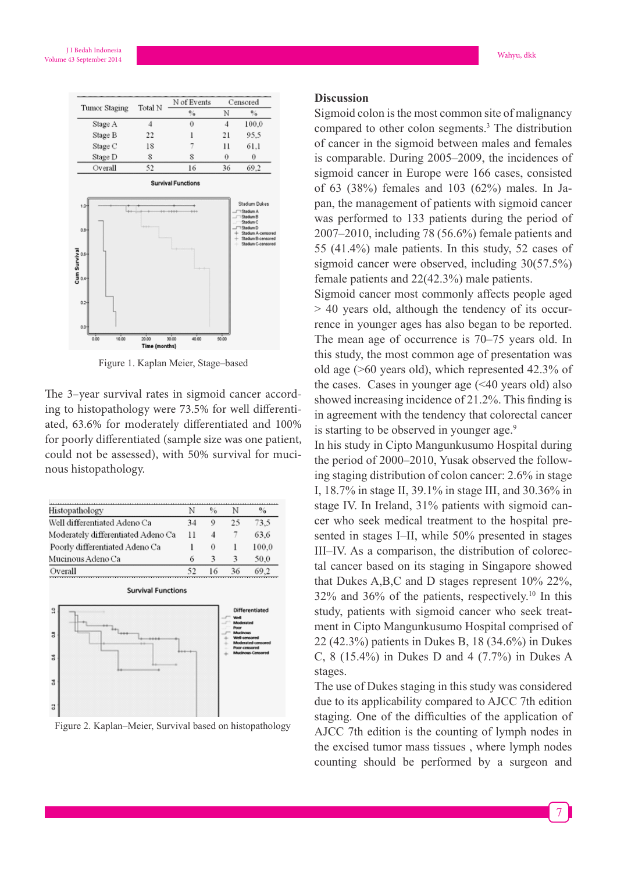

Figure 1. Kaplan Meier, Stage–based

The 3-year survival rates in sigmoid cancer according to histopathology were 73.5% for well diferentiated, 63.6% for moderately diferentiated and 100% for poorly diferentiated (sample size was one patient, could not be assessed), with 50% survival for mucinous histopathology.

| Histopathology                     | N  | $\frac{0}{\alpha}$ |    | $\%$  |
|------------------------------------|----|--------------------|----|-------|
| Well differentiated Adeno Ca       |    | 9                  | 25 | 73.5  |
| Moderately differentiated Adeno Ca |    | 4                  | 7  | 63.6  |
| Poorly differentiated Adeno Ca     |    | 0                  |    | 100.0 |
| Mucinous Adeno Ca                  | 6  | 3                  | 3  | 50.0  |
| Overall                            | 52 | 16                 | 36 | 69.2  |



Figure 2. Kaplan–Meier, Survival based on histopathology

#### **Discussion**

Sigmoid colon is the most common site of malignancy compared to other colon segments.3 The distribution of cancer in the sigmoid between males and females is comparable. During 2005–2009, the incidences of sigmoid cancer in Europe were 166 cases, consisted of 63 (38%) females and 103 (62%) males. In Japan, the management of patients with sigmoid cancer was performed to 133 patients during the period of 2007–2010, including 78 (56.6%) female patients and 55 (41.4%) male patients. In this study, 52 cases of sigmoid cancer were observed, including 30(57.5%) female patients and 22(42.3%) male patients.

Sigmoid cancer most commonly affects people aged > 40 years old, although the tendency of its occurrence in younger ages has also began to be reported. The mean age of occurrence is 70–75 years old. In this study, the most common age of presentation was old age (>60 years old), which represented 42.3% of the cases. Cases in younger age  $( $40$  years old) also$ showed increasing incidence of  $21.2\%$ . This finding is in agreement with the tendency that colorectal cancer is starting to be observed in younger age.<sup>9</sup>

In his study in Cipto Mangunkusumo Hospital during the period of 2000–2010, Yusak observed the following staging distribution of colon cancer: 2.6% in stage I, 18.7% in stage II, 39.1% in stage III, and 30.36% in stage IV. In Ireland, 31% patients with sigmoid cancer who seek medical treatment to the hospital presented in stages I–II, while 50% presented in stages III–IV. As a comparison, the distribution of colorectal cancer based on its staging in Singapore showed that Dukes A,B,C and D stages represent 10% 22%,  $32\%$  and  $36\%$  of the patients, respectively.<sup>10</sup> In this study, patients with sigmoid cancer who seek treatment in Cipto Mangunkusumo Hospital comprised of 22 (42.3%) patients in Dukes B, 18 (34.6%) in Dukes C, 8 (15.4%) in Dukes D and 4 (7.7%) in Dukes A stages.

The use of Dukes staging in this study was considered due to its applicability compared to AJCC 7th edition staging. One of the difficulties of the application of AJCC 7th edition is the counting of lymph nodes in the excised tumor mass tissues , where lymph nodes counting should be performed by a surgeon and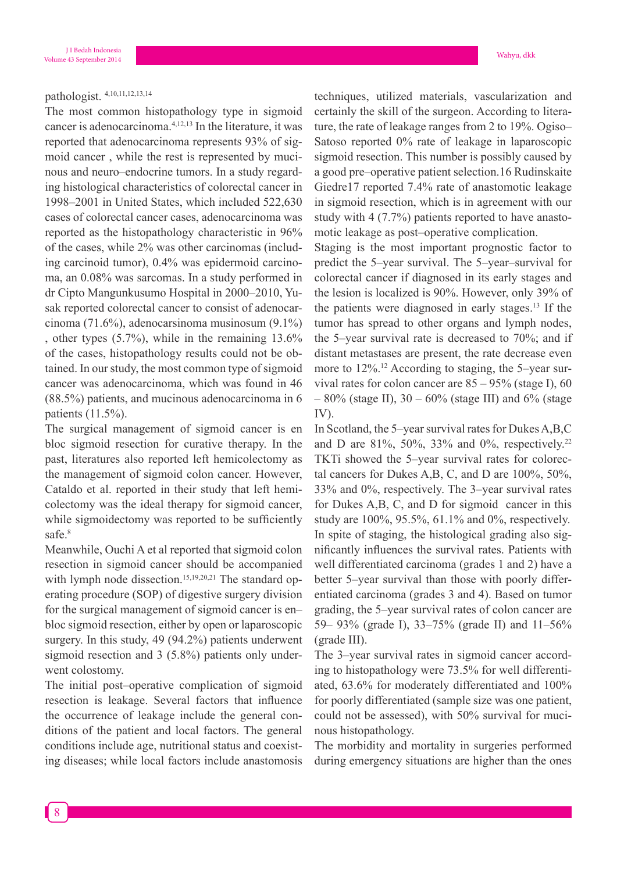## pathologist. 4,10,11,12,13,14

The most common histopathology type in sigmoid cancer is adenocarcinoma.4,12,13 In the literature, it was reported that adenocarcinoma represents 93% of sigmoid cancer , while the rest is represented by mucinous and neuro–endocrine tumors. In a study regarding histological characteristics of colorectal cancer in 1998–2001 in United States, which included 522,630 cases of colorectal cancer cases, adenocarcinoma was reported as the histopathology characteristic in 96% of the cases, while 2% was other carcinomas (including carcinoid tumor), 0.4% was epidermoid carcinoma, an 0.08% was sarcomas. In a study performed in dr Cipto Mangunkusumo Hospital in 2000–2010, Yusak reported colorectal cancer to consist of adenocarcinoma (71.6%), adenocarsinoma musinosum (9.1%) , other types (5.7%), while in the remaining 13.6% of the cases, histopathology results could not be obtained. In our study, the most common type of sigmoid cancer was adenocarcinoma, which was found in 46 (88.5%) patients, and mucinous adenocarcinoma in 6 patients (11.5%).

The surgical management of sigmoid cancer is en bloc sigmoid resection for curative therapy. In the past, literatures also reported left hemicolectomy as the management of sigmoid colon cancer. However, Cataldo et al. reported in their study that left hemicolectomy was the ideal therapy for sigmoid cancer, while sigmoidectomy was reported to be sufficiently safe.<sup>8</sup>

Meanwhile, Ouchi A et al reported that sigmoid colon resection in sigmoid cancer should be accompanied with lymph node dissection.<sup>15,19,20,21</sup> The standard operating procedure (SOP) of digestive surgery division for the surgical management of sigmoid cancer is en– bloc sigmoid resection, either by open or laparoscopic surgery. In this study, 49 (94.2%) patients underwent sigmoid resection and 3 (5.8%) patients only underwent colostomy.

The initial post–operative complication of sigmoid resection is leakage. Several factors that influence the occurrence of leakage include the general conditions of the patient and local factors. The general conditions include age, nutritional status and coexisting diseases; while local factors include anastomosis techniques, utilized materials, vascularization and certainly the skill of the surgeon. According to literature, the rate of leakage ranges from 2 to 19%. Ogiso– Satoso reported 0% rate of leakage in laparoscopic sigmoid resection. This number is possibly caused by a good pre–operative patient selection.16 Rudinskaite Giedre17 reported 7.4% rate of anastomotic leakage in sigmoid resection, which is in agreement with our study with 4 (7.7%) patients reported to have anastomotic leakage as post–operative complication.

Staging is the most important prognostic factor to predict the 5–year survival. The 5–year–survival for colorectal cancer if diagnosed in its early stages and the lesion is localized is 90%. However, only 39% of the patients were diagnosed in early stages.13 If the tumor has spread to other organs and lymph nodes, the 5–year survival rate is decreased to 70%; and if distant metastases are present, the rate decrease even more to 12%.<sup>12</sup> According to staging, the 5-year survival rates for colon cancer are  $85 - 95\%$  (stage I), 60  $-80\%$  (stage II), 30 – 60% (stage III) and 6% (stage IV).

In Scotland, the 5–year survival rates for Dukes A,B,C and D are 81%, 50%, 33% and 0%, respectively.<sup>22</sup> TKTi showed the 5–year survival rates for colorectal cancers for Dukes A,B, C, and D are 100%, 50%, 33% and 0%, respectively. The 3–year survival rates for Dukes A,B, C, and D for sigmoid cancer in this study are 100%, 95.5%, 61.1% and 0%, respectively. In spite of staging, the histological grading also significantly influences the survival rates. Patients with well differentiated carcinoma (grades 1 and 2) have a better 5–year survival than those with poorly differentiated carcinoma (grades 3 and 4). Based on tumor grading, the 5–year survival rates of colon cancer are 59– 93% (grade I), 33–75% (grade II) and 11–56% (grade III).

The 3–year survival rates in sigmoid cancer according to histopathology were 73.5% for well differentiated, 63.6% for moderately differentiated and 100% for poorly differentiated (sample size was one patient, could not be assessed), with 50% survival for mucinous histopathology.

The morbidity and mortality in surgeries performed during emergency situations are higher than the ones